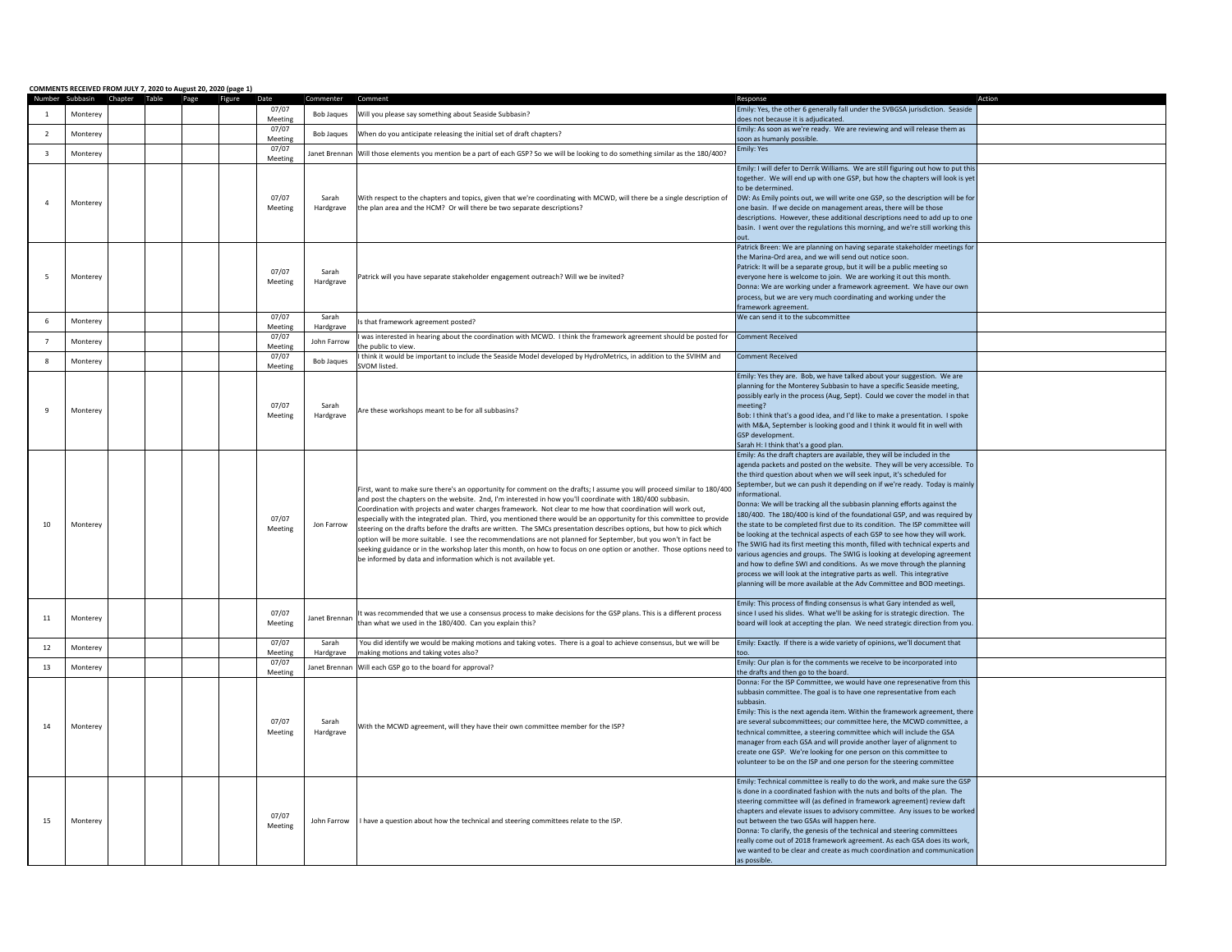|                         |          | COMMENTS RECEIVED FROM JULY 7, 2020 to August 20, 2020 (page 1)<br>Number Subbasin Chapter Table Page Figure | Date             |                    |                                                                                                                                                                                                                                                                                                                                                                                                                                                                                                                                                                                                                                                                                                                                                                                                                                                                                                                      | Response                                                                                                                                                                                                                                                                                                                                                                                                                                                                                                                                                                                                                                                                                                                                                                                                                                                                                                                                                                                                                                        |  |
|-------------------------|----------|--------------------------------------------------------------------------------------------------------------|------------------|--------------------|----------------------------------------------------------------------------------------------------------------------------------------------------------------------------------------------------------------------------------------------------------------------------------------------------------------------------------------------------------------------------------------------------------------------------------------------------------------------------------------------------------------------------------------------------------------------------------------------------------------------------------------------------------------------------------------------------------------------------------------------------------------------------------------------------------------------------------------------------------------------------------------------------------------------|-------------------------------------------------------------------------------------------------------------------------------------------------------------------------------------------------------------------------------------------------------------------------------------------------------------------------------------------------------------------------------------------------------------------------------------------------------------------------------------------------------------------------------------------------------------------------------------------------------------------------------------------------------------------------------------------------------------------------------------------------------------------------------------------------------------------------------------------------------------------------------------------------------------------------------------------------------------------------------------------------------------------------------------------------|--|
|                         |          |                                                                                                              | 07/07            |                    |                                                                                                                                                                                                                                                                                                                                                                                                                                                                                                                                                                                                                                                                                                                                                                                                                                                                                                                      | Emily: Yes, the other 6 generally fall under the SVBGSA jurisdiction. Seaside                                                                                                                                                                                                                                                                                                                                                                                                                                                                                                                                                                                                                                                                                                                                                                                                                                                                                                                                                                   |  |
| <sup>1</sup>            | Monterey |                                                                                                              | Meeting<br>07/07 | <b>Bob Jaques</b>  | Will you please say something about Seaside Subbasin?                                                                                                                                                                                                                                                                                                                                                                                                                                                                                                                                                                                                                                                                                                                                                                                                                                                                | does not because it is adjudicated.<br>Emily: As soon as we're ready. We are reviewing and will release them as                                                                                                                                                                                                                                                                                                                                                                                                                                                                                                                                                                                                                                                                                                                                                                                                                                                                                                                                 |  |
| $\overline{2}$          | Monterey |                                                                                                              | Meeting<br>07/07 | <b>Bob Jaques</b>  | When do you anticipate releasing the initial set of draft chapters?                                                                                                                                                                                                                                                                                                                                                                                                                                                                                                                                                                                                                                                                                                                                                                                                                                                  | soon as humanly possible.<br>Emily: Yes                                                                                                                                                                                                                                                                                                                                                                                                                                                                                                                                                                                                                                                                                                                                                                                                                                                                                                                                                                                                         |  |
| $\overline{\mathbf{3}}$ | Monterev |                                                                                                              | Meeting          |                    | Janet Brennan Will those elements you mention be a part of each GSP? So we will be looking to do something similar as the 180/400?                                                                                                                                                                                                                                                                                                                                                                                                                                                                                                                                                                                                                                                                                                                                                                                   |                                                                                                                                                                                                                                                                                                                                                                                                                                                                                                                                                                                                                                                                                                                                                                                                                                                                                                                                                                                                                                                 |  |
| $\overline{4}$          | Monterey |                                                                                                              | 07/07<br>Meeting | Sarah<br>Hardgrave | With respect to the chapters and topics, given that we're coordinating with MCWD, will there be a single description of<br>the plan area and the HCM? Or will there be two separate descriptions?                                                                                                                                                                                                                                                                                                                                                                                                                                                                                                                                                                                                                                                                                                                    | Emily: I will defer to Derrik Williams. We are still figuring out how to put this<br>together. We will end up with one GSP, but how the chapters will look is yet<br>to be determined.<br>DW: As Emily points out, we will write one GSP, so the description will be for<br>one basin. If we decide on management areas, there will be those<br>descriptions. However, these additional descriptions need to add up to one<br>basin. I went over the regulations this morning, and we're still working this<br>out.                                                                                                                                                                                                                                                                                                                                                                                                                                                                                                                             |  |
| 5                       | Monterey |                                                                                                              | 07/07<br>Meeting | Sarah<br>Hardgrave | Patrick will you have separate stakeholder engagement outreach? Will we be invited?                                                                                                                                                                                                                                                                                                                                                                                                                                                                                                                                                                                                                                                                                                                                                                                                                                  | Patrick Breen: We are planning on having separate stakeholder meetings for<br>the Marina-Ord area, and we will send out notice soon<br>Patrick: It will be a separate group, but it will be a public meeting so<br>everyone here is welcome to join. We are working it out this month.<br>Donna: We are working under a framework agreement. We have our own<br>process, but we are very much coordinating and working under the<br>framework agreement.                                                                                                                                                                                                                                                                                                                                                                                                                                                                                                                                                                                        |  |
| 6                       | Monterey |                                                                                                              | 07/07<br>Meeting | Sarah<br>Hardgrave | Is that framework agreement posted?                                                                                                                                                                                                                                                                                                                                                                                                                                                                                                                                                                                                                                                                                                                                                                                                                                                                                  | We can send it to the subcommittee                                                                                                                                                                                                                                                                                                                                                                                                                                                                                                                                                                                                                                                                                                                                                                                                                                                                                                                                                                                                              |  |
| $\overline{7}$          | Monterev |                                                                                                              | 07/07<br>Meeting | John Farrow        | was interested in hearing about the coordination with MCWD. I think the framework agreement should be posted for<br>he public to view                                                                                                                                                                                                                                                                                                                                                                                                                                                                                                                                                                                                                                                                                                                                                                                | <b>Comment Received</b>                                                                                                                                                                                                                                                                                                                                                                                                                                                                                                                                                                                                                                                                                                                                                                                                                                                                                                                                                                                                                         |  |
| $\boldsymbol{8}$        | Monterey |                                                                                                              | 07/07<br>Meeting | <b>Bob Jaques</b>  | I think it would be important to include the Seaside Model developed by HydroMetrics, in addition to the SVIHM and<br>SVOM listed.                                                                                                                                                                                                                                                                                                                                                                                                                                                                                                                                                                                                                                                                                                                                                                                   | <b>Comment Received</b>                                                                                                                                                                                                                                                                                                                                                                                                                                                                                                                                                                                                                                                                                                                                                                                                                                                                                                                                                                                                                         |  |
| $\overline{9}$          | Monterey |                                                                                                              | 07/07<br>Meeting | Sarah<br>Hardgrave | Are these workshops meant to be for all subbasins?                                                                                                                                                                                                                                                                                                                                                                                                                                                                                                                                                                                                                                                                                                                                                                                                                                                                   | Emily: Yes they are. Bob, we have talked about your suggestion. We are<br>planning for the Monterey Subbasin to have a specific Seaside meeting,<br>possibly early in the process (Aug, Sept). Could we cover the model in that<br>meeting?<br>Bob: I think that's a good idea, and I'd like to make a presentation. I spoke<br>with M&A, September is looking good and I think it would fit in well with<br>GSP development.<br>Sarah H: I think that's a good plan.                                                                                                                                                                                                                                                                                                                                                                                                                                                                                                                                                                           |  |
| 10                      | Monterey |                                                                                                              | 07/07<br>Meeting | Jon Farrow         | First, want to make sure there's an opportunity for comment on the drafts; I assume you will proceed similar to 180/400<br>and post the chapters on the website. 2nd, I'm interested in how you'll coordinate with 180/400 subbasin.<br>Coordination with projects and water charges framework. Not clear to me how that coordination will work out,<br>especially with the integrated plan. Third, you mentioned there would be an opportunity for this committee to provide<br>steering on the drafts before the drafts are written. The SMCs presentation describes options, but how to pick which<br>option will be more suitable. I see the recommendations are not planned for September, but you won't in fact be<br>seeking guidance or in the workshop later this month, on how to focus on one option or another. Those options need to<br>be informed by data and information which is not available yet. | Emily: As the draft chapters are available, they will be included in the<br>agenda packets and posted on the website. They will be very accessible. To<br>the third question about when we will seek input, it's scheduled for<br>September, but we can push it depending on if we're ready. Today is mainly<br>informational.<br>Donna: We will be tracking all the subbasin planning efforts against the<br>180/400. The 180/400 is kind of the foundational GSP, and was required by<br>the state to be completed first due to its condition. The ISP committee will<br>be looking at the technical aspects of each GSP to see how they will work.<br>The SWIG had its first meeting this month, filled with technical experts and<br>various agencies and groups. The SWIG is looking at developing agreement<br>and how to define SWI and conditions. As we move through the planning<br>process we will look at the integrative parts as well. This integrative<br>planning will be more available at the Adv Committee and BOD meetings. |  |
| $11\,$                  | Monterey |                                                                                                              | 07/07<br>Meeting | Janet Brennan      | It was recommended that we use a consensus process to make decisions for the GSP plans. This is a different process<br>than what we used in the 180/400. Can you explain this?                                                                                                                                                                                                                                                                                                                                                                                                                                                                                                                                                                                                                                                                                                                                       | Emily: This process of finding consensus is what Gary intended as well,<br>since I used his slides. What we'll be asking for is strategic direction. The<br>board will look at accepting the plan. We need strategic direction from you.                                                                                                                                                                                                                                                                                                                                                                                                                                                                                                                                                                                                                                                                                                                                                                                                        |  |
| 12                      | Monterev |                                                                                                              | 07/07<br>Meeting | Sarah<br>Hardgrave | You did identify we would be making motions and taking votes. There is a goal to achieve consensus, but we will be<br>making motions and taking votes also?                                                                                                                                                                                                                                                                                                                                                                                                                                                                                                                                                                                                                                                                                                                                                          | Emily: Exactly. If there is a wide variety of opinions, we'll document that<br>$\mathsf{too}$ .                                                                                                                                                                                                                                                                                                                                                                                                                                                                                                                                                                                                                                                                                                                                                                                                                                                                                                                                                 |  |
| 13                      | Monterey |                                                                                                              | 07/07<br>Meeting |                    | Janet Brennan Will each GSP go to the board for approval?                                                                                                                                                                                                                                                                                                                                                                                                                                                                                                                                                                                                                                                                                                                                                                                                                                                            | Emily: Our plan is for the comments we receive to be incorporated into<br>the drafts and then go to the board.                                                                                                                                                                                                                                                                                                                                                                                                                                                                                                                                                                                                                                                                                                                                                                                                                                                                                                                                  |  |
| 14                      | Monterey |                                                                                                              | 07/07<br>Meeting | Sarah<br>Hardgrave | With the MCWD agreement, will they have their own committee member for the ISP?                                                                                                                                                                                                                                                                                                                                                                                                                                                                                                                                                                                                                                                                                                                                                                                                                                      | Donna: For the ISP Committee, we would have one represenative from this<br>subbasin committee. The goal is to have one representative from each<br>subbasin.<br>Emily: This is the next agenda item. Within the framework agreement, there<br>are several subcommittees; our committee here, the MCWD committee, a<br>technical committee, a steering committee which will include the GSA<br>manager from each GSA and will provide another layer of alignment to<br>create one GSP. We're looking for one person on this committee to<br>volunteer to be on the ISP and one person for the steering committee                                                                                                                                                                                                                                                                                                                                                                                                                                 |  |
| 15                      | Monterey |                                                                                                              | 07/07<br>Meeting | John Farrow        | I have a question about how the technical and steering committees relate to the ISP.                                                                                                                                                                                                                                                                                                                                                                                                                                                                                                                                                                                                                                                                                                                                                                                                                                 | Emily: Technical committee is really to do the work, and make sure the GSP<br>is done in a coordinated fashion with the nuts and bolts of the plan. The<br>steering committee will (as defined in framework agreement) review daft<br>chapters and elevate issues to advisory committee. Any issues to be worked<br>out between the two GSAs will happen here.<br>Donna: To clarify, the genesis of the technical and steering committees<br>really come out of 2018 framework agreement. As each GSA does its work,<br>we wanted to be clear and create as much coordination and communication<br>as possible.                                                                                                                                                                                                                                                                                                                                                                                                                                 |  |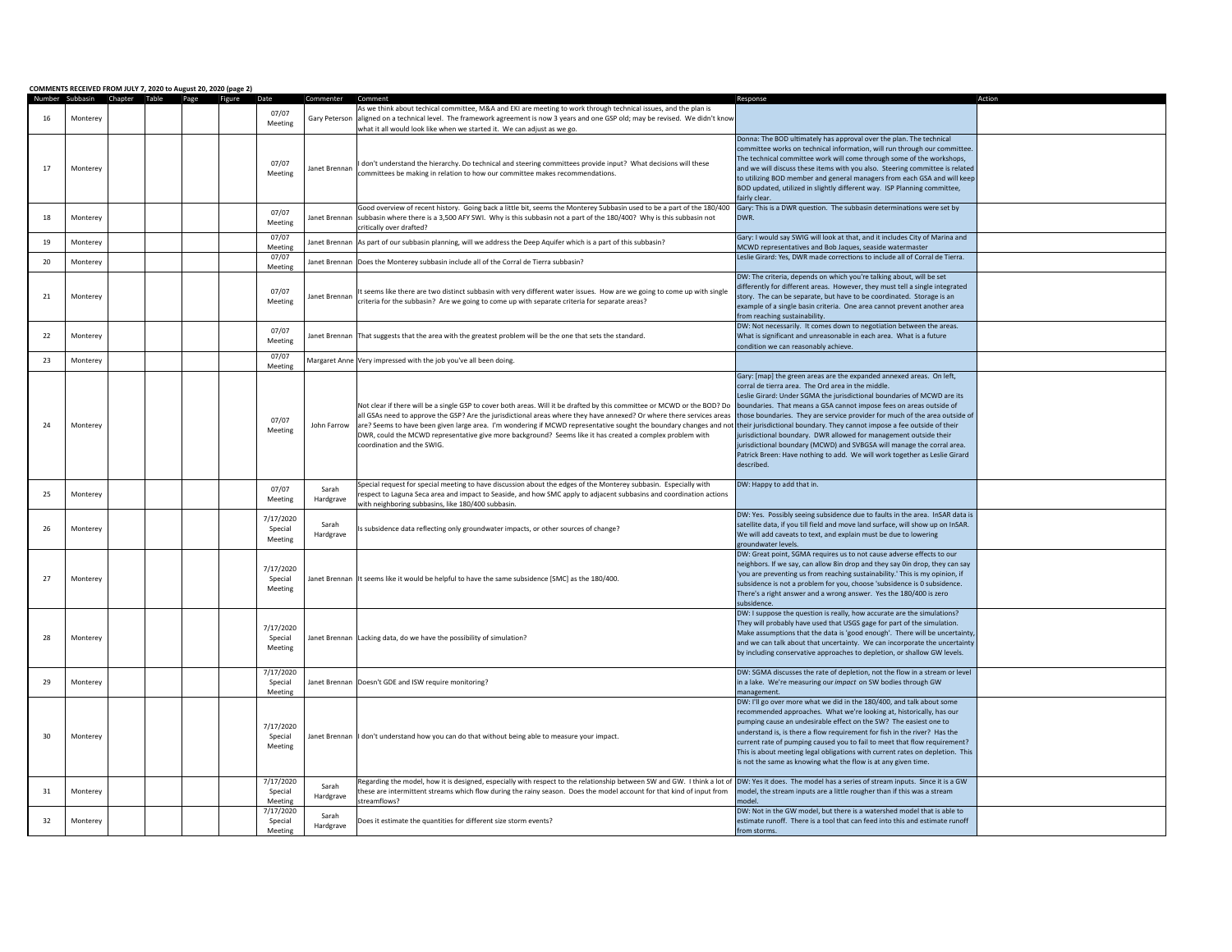|    |          | COMMENTS RECEIVED FROM JULY 7, 2020 to August 20, 2020 (page 2) |                  | Commenter     |                                                                                                                                                                                                                                                                                                                       |                                                                                 | Action |
|----|----------|-----------------------------------------------------------------|------------------|---------------|-----------------------------------------------------------------------------------------------------------------------------------------------------------------------------------------------------------------------------------------------------------------------------------------------------------------------|---------------------------------------------------------------------------------|--------|
|    |          | Number Subbasin Chapter Table Page Figure Date                  |                  |               |                                                                                                                                                                                                                                                                                                                       | Response                                                                        |        |
| 16 |          |                                                                 | 07/07            |               | As we think about techical committee, M&A and EKI are meeting to work through technical issues, and the plan is<br>Gary Peterson aligned on a technical level. The framework agreement is now 3 years and one GSP old; may be revised. We didn't know                                                                 |                                                                                 |        |
|    | Monterey |                                                                 | Meeting          |               |                                                                                                                                                                                                                                                                                                                       |                                                                                 |        |
|    |          |                                                                 |                  |               | what it all would look like when we started it. We can adjust as we go.                                                                                                                                                                                                                                               |                                                                                 |        |
|    |          |                                                                 |                  |               |                                                                                                                                                                                                                                                                                                                       | Donna: The BOD ultimately has approval over the plan. The technical             |        |
|    |          |                                                                 |                  |               |                                                                                                                                                                                                                                                                                                                       | committee works on technical information, will run through our committee.       |        |
|    |          |                                                                 | 07/07            |               | I don't understand the hierarchy. Do technical and steering committees provide input? What decisions will these                                                                                                                                                                                                       | The technical committee work will come through some of the workshops,           |        |
| 17 | Monterey |                                                                 | Meeting          | Janet Brennan | committees be making in relation to how our committee makes recommendations.                                                                                                                                                                                                                                          | and we will discuss these items with you also. Steering committee is related    |        |
|    |          |                                                                 |                  |               |                                                                                                                                                                                                                                                                                                                       | to utilizing BOD member and general managers from each GSA and will keep        |        |
|    |          |                                                                 |                  |               |                                                                                                                                                                                                                                                                                                                       | BOD updated, utilized in slightly different way. ISP Planning committee,        |        |
|    |          |                                                                 |                  |               |                                                                                                                                                                                                                                                                                                                       | fairly clear.                                                                   |        |
|    |          |                                                                 | 07/07            |               | Good overview of recent history. Going back a little bit, seems the Monterey Subbasin used to be a part of the 180/400                                                                                                                                                                                                | Gary: This is a DWR question. The subbasin determinations were set by           |        |
| 18 | Monterey |                                                                 | Meeting          | Janet Brennan | subbasin where there is a 3,500 AFY SWI. Why is this subbasin not a part of the 180/400? Why is this subbasin not                                                                                                                                                                                                     | DWR.                                                                            |        |
|    |          |                                                                 |                  |               | critically over drafted?                                                                                                                                                                                                                                                                                              |                                                                                 |        |
| 19 | Monterey |                                                                 | 07/07            |               | Janet Brennan As part of our subbasin planning, will we address the Deep Aquifer which is a part of this subbasin?                                                                                                                                                                                                    | Gary: I would say SWIG will look at that, and it includes City of Marina and    |        |
|    |          |                                                                 | Meeting          |               |                                                                                                                                                                                                                                                                                                                       | MCWD representatives and Bob Jaques, seaside watermaster                        |        |
| 20 | Monterey |                                                                 | 07/07            |               | Janet Brennan Does the Monterey subbasin include all of the Corral de Tierra subbasin?                                                                                                                                                                                                                                | Leslie Girard: Yes, DWR made corrections to include all of Corral de Tierra.    |        |
|    |          |                                                                 | Meeting          |               |                                                                                                                                                                                                                                                                                                                       |                                                                                 |        |
|    |          |                                                                 |                  |               |                                                                                                                                                                                                                                                                                                                       | DW: The criteria, depends on which you're talking about, will be set            |        |
|    |          |                                                                 | 07/07            |               | It seems like there are two distinct subbasin with very different water issues. How are we going to come up with single                                                                                                                                                                                               | differently for different areas. However, they must tell a single integrated    |        |
| 21 | Monterey |                                                                 | Meeting          | Janet Brennan | criteria for the subbasin? Are we going to come up with separate criteria for separate areas?                                                                                                                                                                                                                         | story. The can be separate, but have to be coordinated. Storage is an           |        |
|    |          |                                                                 |                  |               |                                                                                                                                                                                                                                                                                                                       | example of a single basin criteria. One area cannot prevent another area        |        |
|    |          |                                                                 |                  |               |                                                                                                                                                                                                                                                                                                                       | from reaching sustainability.                                                   |        |
|    |          |                                                                 | 07/07            |               |                                                                                                                                                                                                                                                                                                                       | DW: Not necessarily. It comes down to negotiation between the areas.            |        |
| 22 | Monterey |                                                                 | Meeting          |               | Janet Brennan That suggests that the area with the greatest problem will be the one that sets the standard.                                                                                                                                                                                                           | What is significant and unreasonable in each area. What is a future             |        |
|    |          |                                                                 |                  |               |                                                                                                                                                                                                                                                                                                                       | condition we can reasonably achieve.                                            |        |
| 23 | Monterev |                                                                 | 07/07            |               | Margaret Anne Very impressed with the job you've all been doing.                                                                                                                                                                                                                                                      |                                                                                 |        |
|    |          |                                                                 | Meeting          |               |                                                                                                                                                                                                                                                                                                                       |                                                                                 |        |
|    |          |                                                                 |                  |               |                                                                                                                                                                                                                                                                                                                       | Gary: [map] the green areas are the expanded annexed areas. On left,            |        |
|    |          |                                                                 | 07/07<br>Meeting | John Farrow   | Not clear if there will be a single GSP to cover both areas. Will it be drafted by this committee or MCWD or the BOD? Do boundaries. That means a GSA cannot impose fees on areas outside of<br>all GSAs need to approve the GSP? Are the jurisdictional areas where they have annexed? Or where there services areas | corral de tierra area. The Ord area in the middle.                              |        |
|    |          |                                                                 |                  |               |                                                                                                                                                                                                                                                                                                                       | Leslie Girard: Under SGMA the jurisdictional boundaries of MCWD are its         |        |
|    |          |                                                                 |                  |               |                                                                                                                                                                                                                                                                                                                       |                                                                                 |        |
|    |          |                                                                 |                  |               |                                                                                                                                                                                                                                                                                                                       | those boundaries. They are service provider for much of the area outside of     |        |
| 24 | Monterey |                                                                 |                  |               | are? Seems to have been given large area. I'm wondering if MCWD representative sought the boundary changes and not their jurisdictional boundary. They cannot impose a fee outside of their                                                                                                                           |                                                                                 |        |
|    |          |                                                                 |                  |               | DWR, could the MCWD representative give more background? Seems like it has created a complex problem with                                                                                                                                                                                                             | jurisdictional boundary. DWR allowed for management outside their               |        |
|    |          |                                                                 |                  |               | coordination and the SWIG.                                                                                                                                                                                                                                                                                            | jurisdictional boundary (MCWD) and SVBGSA will manage the corral area.          |        |
|    |          |                                                                 |                  |               |                                                                                                                                                                                                                                                                                                                       | Patrick Breen: Have nothing to add. We will work together as Leslie Girard      |        |
|    |          |                                                                 |                  |               |                                                                                                                                                                                                                                                                                                                       | described.                                                                      |        |
|    |          |                                                                 |                  |               |                                                                                                                                                                                                                                                                                                                       |                                                                                 |        |
|    |          |                                                                 | 07/07            | Sarah         | Special request for special meeting to have discussion about the edges of the Monterey subbasin. Especially with                                                                                                                                                                                                      | DW: Happy to add that in.                                                       |        |
| 25 | Monterey |                                                                 |                  |               | respect to Laguna Seca area and impact to Seaside, and how SMC apply to adjacent subbasins and coordination actions                                                                                                                                                                                                   |                                                                                 |        |
|    |          |                                                                 | Meeting          | Hardgrave     | with neighboring subbasins, like 180/400 subbasin.                                                                                                                                                                                                                                                                    |                                                                                 |        |
|    |          |                                                                 | 7/17/2020        |               |                                                                                                                                                                                                                                                                                                                       | DW: Yes. Possibly seeing subsidence due to faults in the area. InSAR data is    |        |
| 26 | Monterey |                                                                 | Special          | Sarah         |                                                                                                                                                                                                                                                                                                                       | satellite data, if you till field and move land surface, will show up on InSAR. |        |
|    |          |                                                                 | Meeting          | Hardgrave     | Is subsidence data reflecting only groundwater impacts, or other sources of change?                                                                                                                                                                                                                                   | We will add caveats to text, and explain must be due to lowering                |        |
|    |          |                                                                 |                  |               |                                                                                                                                                                                                                                                                                                                       | groundwater levels.                                                             |        |
|    |          |                                                                 |                  |               |                                                                                                                                                                                                                                                                                                                       | DW: Great point, SGMA requires us to not cause adverse effects to our           |        |
|    |          |                                                                 |                  |               |                                                                                                                                                                                                                                                                                                                       | neighbors. If we say, can allow 8in drop and they say 0in drop, they can say    |        |
|    |          |                                                                 | 7/17/2020        |               |                                                                                                                                                                                                                                                                                                                       | 'you are preventing us from reaching sustainability.' This is my opinion, if    |        |
| 27 | Monterey |                                                                 | Special          |               | Janet Brennan It seems like it would be helpful to have the same subsidence [SMC] as the 180/400.                                                                                                                                                                                                                     | subsidence is not a problem for you, choose 'subsidence is 0 subsidence.        |        |
|    |          |                                                                 | Meeting          |               |                                                                                                                                                                                                                                                                                                                       | There's a right answer and a wrong answer. Yes the 180/400 is zero              |        |
|    |          |                                                                 |                  |               |                                                                                                                                                                                                                                                                                                                       | subsidence.                                                                     |        |
|    |          |                                                                 |                  |               |                                                                                                                                                                                                                                                                                                                       | DW: I suppose the question is really, how accurate are the simulations?         |        |
|    |          |                                                                 | 7/17/2020        |               |                                                                                                                                                                                                                                                                                                                       | They will probably have used that USGS gage for part of the simulation.         |        |
| 28 | Monterey |                                                                 | Special          |               | Janet Brennan Lacking data, do we have the possibility of simulation?                                                                                                                                                                                                                                                 | Make assumptions that the data is 'good enough'. There will be uncertainty      |        |
|    |          |                                                                 |                  |               |                                                                                                                                                                                                                                                                                                                       | and we can talk about that uncertainty. We can incorporate the uncertainty      |        |
|    |          |                                                                 | Meeting          |               |                                                                                                                                                                                                                                                                                                                       | by including conservative approaches to depletion, or shallow GW levels.        |        |
|    |          |                                                                 |                  |               |                                                                                                                                                                                                                                                                                                                       |                                                                                 |        |
|    |          |                                                                 | 7/17/2020        |               |                                                                                                                                                                                                                                                                                                                       | DW: SGMA discusses the rate of depletion, not the flow in a stream or level     |        |
| 29 | Monterey |                                                                 | Special          |               | Janet Brennan Doesn't GDE and ISW require monitoring?                                                                                                                                                                                                                                                                 | in a lake. We're measuring our impact on SW bodies through GW                   |        |
|    |          |                                                                 | Meeting          |               |                                                                                                                                                                                                                                                                                                                       | management.                                                                     |        |
|    |          |                                                                 |                  |               |                                                                                                                                                                                                                                                                                                                       | DW: I'll go over more what we did in the 180/400, and talk about some           |        |
|    |          |                                                                 |                  |               |                                                                                                                                                                                                                                                                                                                       | recommended approaches. What we're looking at, historically, has our            |        |
|    |          |                                                                 |                  |               |                                                                                                                                                                                                                                                                                                                       | pumping cause an undesirable effect on the SW? The easiest one to               |        |
| 30 |          |                                                                 | 7/17/2020        |               |                                                                                                                                                                                                                                                                                                                       | understand is, is there a flow requirement for fish in the river? Has the       |        |
|    | Monterey |                                                                 | Special          |               | Janet Brennan   I don't understand how you can do that without being able to measure your impact.                                                                                                                                                                                                                     | current rate of pumping caused you to fail to meet that flow requirement?       |        |
|    |          |                                                                 | Meeting          |               |                                                                                                                                                                                                                                                                                                                       | This is about meeting legal obligations with current rates on depletion. This   |        |
|    |          |                                                                 |                  |               |                                                                                                                                                                                                                                                                                                                       | is not the same as knowing what the flow is at any given time.                  |        |
|    |          |                                                                 |                  |               |                                                                                                                                                                                                                                                                                                                       |                                                                                 |        |
|    |          |                                                                 | 7/17/2020        |               | Regarding the model, how it is designed, especially with respect to the relationship between SW and GW. I think a lot of DW: Yes it does. The model has a series of stream inputs. Since it is a GW                                                                                                                   |                                                                                 |        |
| 31 | Monterey |                                                                 | Special          | Sarah         | these are intermittent streams which flow during the rainy season. Does the model account for that kind of input from                                                                                                                                                                                                 | model, the stream inputs are a little rougher than if this was a stream         |        |
|    |          |                                                                 | Meeting          | Hardgrave     | streamflows?                                                                                                                                                                                                                                                                                                          | model                                                                           |        |
|    |          |                                                                 | 7/17/2020        |               |                                                                                                                                                                                                                                                                                                                       | DW: Not in the GW model, but there is a watershed model that is able to         |        |
| 32 | Monterey |                                                                 | Special          | Sarah         | Does it estimate the quantities for different size storm events?                                                                                                                                                                                                                                                      | estimate runoff. There is a tool that can feed into this and estimate runoff    |        |
|    |          |                                                                 | Meeting          | Hardgrave     |                                                                                                                                                                                                                                                                                                                       | from storms.                                                                    |        |
|    |          |                                                                 |                  |               |                                                                                                                                                                                                                                                                                                                       |                                                                                 |        |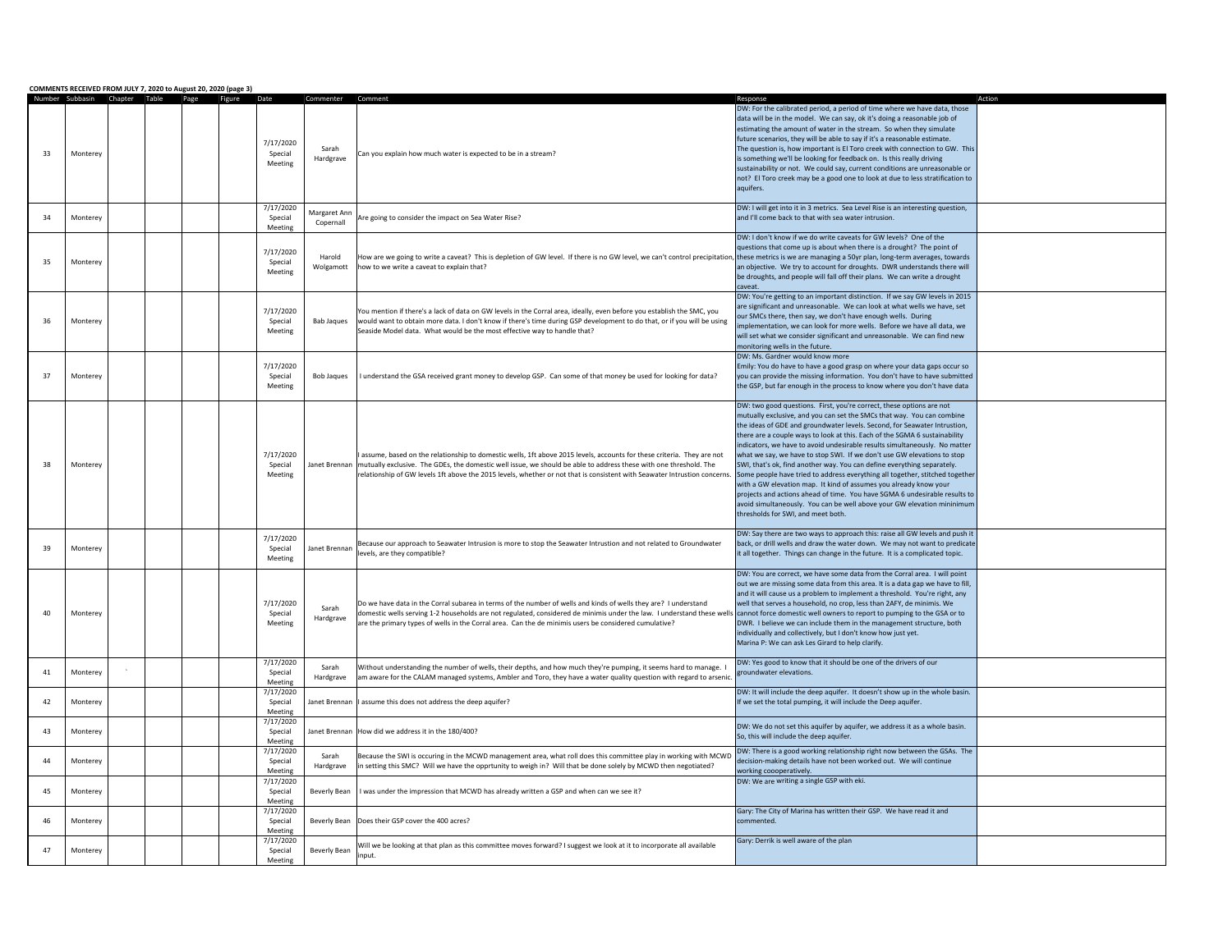|    | COMMENTS RECEIVED FROM JULY 7, 2020 to August 20, 2020 (page 3)<br>Number Subbasin | Chapter Table |      |        |                                 |                           |                                                                                                                                                                                                                                                                                                                                                                                                                            | Response                                                                                                                                                                                                                                                                                                                                                                                                                                                                                                                                                                                                                                                                                                                                                                                                                                                                                          |  |
|----|------------------------------------------------------------------------------------|---------------|------|--------|---------------------------------|---------------------------|----------------------------------------------------------------------------------------------------------------------------------------------------------------------------------------------------------------------------------------------------------------------------------------------------------------------------------------------------------------------------------------------------------------------------|---------------------------------------------------------------------------------------------------------------------------------------------------------------------------------------------------------------------------------------------------------------------------------------------------------------------------------------------------------------------------------------------------------------------------------------------------------------------------------------------------------------------------------------------------------------------------------------------------------------------------------------------------------------------------------------------------------------------------------------------------------------------------------------------------------------------------------------------------------------------------------------------------|--|
| 33 | Monterey                                                                           |               | Page | Figure | 7/17/2020<br>Special<br>Meeting | Sarah<br>Hardgrave        | Can you explain how much water is expected to be in a stream?                                                                                                                                                                                                                                                                                                                                                              | DW: For the calibrated period, a period of time where we have data, those<br>data will be in the model. We can say, ok it's doing a reasonable job of<br>estimating the amount of water in the stream. So when they simulate<br>future scenarios, they will be able to say if it's a reasonable estimate.<br>The question is, how important is El Toro creek with connection to GW. This<br>is something we'll be looking for feedback on. Is this really driving<br>sustainability or not. We could say, current conditions are unreasonable or<br>not? El Toro creek may be a good one to look at due to less stratification to<br>aquifers.                                                                                                                                                                                                                                                    |  |
| 34 | Monterev                                                                           |               |      |        | 7/17/2020<br>Special<br>Meeting | Margaret Ann<br>Copernall | Are going to consider the impact on Sea Water Rise?                                                                                                                                                                                                                                                                                                                                                                        | DW: I will get into it in 3 metrics. Sea Level Rise is an interesting question,<br>and I'll come back to that with sea water intrusion.                                                                                                                                                                                                                                                                                                                                                                                                                                                                                                                                                                                                                                                                                                                                                           |  |
| 35 | Monterev                                                                           |               |      |        | 7/17/2020<br>Special<br>Meeting | Harold<br>Wolgamott       | How are we going to write a caveat? This is depletion of GW level. If there is no GW level, we can't control precipitation, these metrics is we are managing a 50yr plan, long-term averages, towards<br>how to we write a caveat to explain that?                                                                                                                                                                         | DW: I don't know if we do write caveats for GW levels? One of the<br>questions that come up is about when there is a drought? The point of<br>an objective. We try to account for droughts. DWR understands there will<br>be droughts, and people will fall off their plans. We can write a drought<br>caveat.                                                                                                                                                                                                                                                                                                                                                                                                                                                                                                                                                                                    |  |
| 36 | Monterey                                                                           |               |      |        | 7/17/2020<br>Special<br>Meeting | <b>Bab Jaques</b>         | You mention if there's a lack of data on GW levels in the Corral area, ideally, even before you establish the SMC, you<br>would want to obtain more data. I don't know if there's time during GSP development to do that, or if you will be using<br>Seaside Model data. What would be the most effective way to handle that?                                                                                              | DW: You're getting to an important distinction. If we say GW levels in 2015<br>are significant and unreasonable. We can look at what wells we have, set<br>our SMCs there, then say, we don't have enough wells. During<br>implementation, we can look for more wells. Before we have all data, we<br>will set what we consider significant and unreasonable. We can find new<br>monitoring wells in the future.                                                                                                                                                                                                                                                                                                                                                                                                                                                                                  |  |
| 37 | Monterey                                                                           |               |      |        | 7/17/2020<br>Special<br>Meeting | <b>Bob Jaques</b>         | I understand the GSA received grant money to develop GSP. Can some of that money be used for looking for data?                                                                                                                                                                                                                                                                                                             | DW: Ms. Gardner would know more<br>Emily: You do have to have a good grasp on where your data gaps occur so<br>you can provide the missing information. You don't have to have submitted<br>the GSP, but far enough in the process to know where you don't have data                                                                                                                                                                                                                                                                                                                                                                                                                                                                                                                                                                                                                              |  |
| 38 | Monterev                                                                           |               |      |        | 7/17/2020<br>Special<br>Meeting |                           | assume, based on the relationship to domestic wells, 1ft above 2015 levels, accounts for these criteria. They are not<br>Janet Brennan mutually exclusive. The GDEs, the domestic well issue, we should be able to address these with one threshold. The<br>relationship of GW levels 1ft above the 2015 levels, whether or not that is consistent with Seawater Intrustion concerns.                                      | DW: two good questions. First, you're correct, these options are not<br>mutually exclusive, and you can set the SMCs that way. You can combine<br>the ideas of GDE and groundwater levels. Second, for Seawater Intrustion,<br>there are a couple ways to look at this. Each of the SGMA 6 sustainability<br>indicators, we have to avoid undesirable results simultaneously. No matter<br>what we say, we have to stop SWI. If we don't use GW elevations to stop<br>SWI, that's ok, find another way. You can define everything separately.<br>Some people have tried to address everything all together, stitched together<br>with a GW elevation map. It kind of assumes you already know your<br>projects and actions ahead of time. You have SGMA 6 undesirable results to<br>avoid simultaneously. You can be well above your GW elevation mininimun<br>thresholds for SWI, and meet both. |  |
| 39 | Monterev                                                                           |               |      |        | 7/17/2020<br>Special<br>Meeting | Janet Brennan             | Because our approach to Seawater Intrusion is more to stop the Seawater Intrustion and not related to Groundwater<br>levels, are they compatible?                                                                                                                                                                                                                                                                          | DW: Say there are two ways to approach this: raise all GW levels and push it<br>back, or drill wells and draw the water down. We may not want to predicate<br>it all together. Things can change in the future. It is a complicated topic.                                                                                                                                                                                                                                                                                                                                                                                                                                                                                                                                                                                                                                                        |  |
| 40 | Monterey                                                                           |               |      |        | 7/17/2020<br>Special<br>Meeting | Sarah<br>Hardgrave        | Do we have data in the Corral subarea in terms of the number of wells and kinds of wells they are? I understand<br>domestic wells serving 1-2 households are not regulated, considered de minimis under the law. I understand these wells cannot force domestic well owners to report to pumping to the GSA or to<br>are the primary types of wells in the Corral area. Can the de minimis users be considered cumulative? | DW: You are correct, we have some data from the Corral area. I will point<br>out we are missing some data from this area. It is a data gap we have to fill,<br>and it will cause us a problem to implement a threshold. You're right, any<br>well that serves a household, no crop, less than 2AFY, de minimis. We<br>DWR. I believe we can include them in the management structure, both<br>individually and collectively, but I don't know how just yet.<br>Marina P: We can ask Les Girard to help clarify.                                                                                                                                                                                                                                                                                                                                                                                   |  |
| 41 | Monterey                                                                           |               |      |        | 7/17/2020<br>Special<br>Meeting | Sarah<br>Hardgrave        | Without understanding the number of wells, their depths, and how much they're pumping, it seems hard to manage. I<br>am aware for the CALAM managed systems, Ambler and Toro, they have a water quality question with regard to arsenic.                                                                                                                                                                                   | DW: Yes good to know that it should be one of the drivers of our<br>groundwater elevations.                                                                                                                                                                                                                                                                                                                                                                                                                                                                                                                                                                                                                                                                                                                                                                                                       |  |
| 42 | Monterey                                                                           |               |      |        | 7/17/2020<br>Special<br>Meeting | Janet Brennan             | I assume this does not address the deep aquifer?                                                                                                                                                                                                                                                                                                                                                                           | DW: It will include the deep aquifer. It doesn't show up in the whole basin.<br>If we set the total pumping, it will include the Deep aquifer.                                                                                                                                                                                                                                                                                                                                                                                                                                                                                                                                                                                                                                                                                                                                                    |  |
| 43 | Monterey                                                                           |               |      |        | 7/17/2020<br>Special<br>Meeting | Janet Brennan             | How did we address it in the 180/400?                                                                                                                                                                                                                                                                                                                                                                                      | DW: We do not set this aquifer by aquifer, we address it as a whole basin.<br>So, this will include the deep aquifer.                                                                                                                                                                                                                                                                                                                                                                                                                                                                                                                                                                                                                                                                                                                                                                             |  |
| 44 | Monterey                                                                           |               |      |        | 7/17/2020<br>Special<br>Meeting | Sarah<br>Hardgrave        | Because the SWI is occuring in the MCWD management area, what roll does this committee play in working with MCWD<br>in setting this SMC? Will we have the opprtunity to weigh in? Will that be done solely by MCWD then negotiated?                                                                                                                                                                                        | DW: There is a good working relationship right now between the GSAs. The<br>decision-making details have not been worked out. We will continue<br>working coooperatively.                                                                                                                                                                                                                                                                                                                                                                                                                                                                                                                                                                                                                                                                                                                         |  |
| 45 | Monterev                                                                           |               |      |        | 7/17/2020<br>Special<br>Meeting | Beverly Bean              | I was under the impression that MCWD has already written a GSP and when can we see it?                                                                                                                                                                                                                                                                                                                                     | DW: We are writing a single GSP with eki.                                                                                                                                                                                                                                                                                                                                                                                                                                                                                                                                                                                                                                                                                                                                                                                                                                                         |  |
| 46 | Monterev                                                                           |               |      |        | 7/17/2020<br>Special<br>Meeting | Beverly Bean              | Does their GSP cover the 400 acres?                                                                                                                                                                                                                                                                                                                                                                                        | Gary: The City of Marina has written their GSP. We have read it and<br>commented.                                                                                                                                                                                                                                                                                                                                                                                                                                                                                                                                                                                                                                                                                                                                                                                                                 |  |
| 47 | Monterey                                                                           |               |      |        | 7/17/2020<br>Special<br>Meeting | Beverly Bean              | Will we be looking at that plan as this committee moves forward? I suggest we look at it to incorporate all available<br>input.                                                                                                                                                                                                                                                                                            | Gary: Derrik is well aware of the plan                                                                                                                                                                                                                                                                                                                                                                                                                                                                                                                                                                                                                                                                                                                                                                                                                                                            |  |